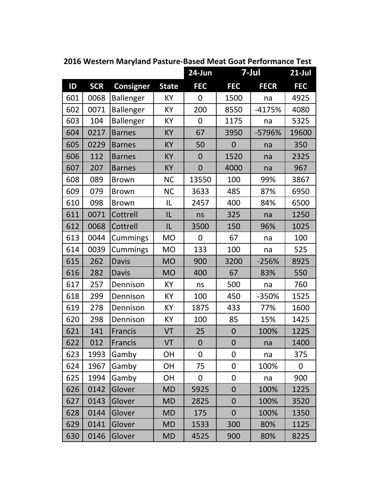|     |            |                  |              | 24-Jun         | 7-Jul            |             | $21$ -Jul  |
|-----|------------|------------------|--------------|----------------|------------------|-------------|------------|
| ID  | <b>SCR</b> | <b>Consigner</b> | <b>State</b> | <b>FEC</b>     | <b>FEC</b>       | <b>FECR</b> | <b>FEC</b> |
| 601 | 0068       | Ballenger        | KY           | 0              | 1500             | na          | 4925       |
| 602 | 0071       | Ballenger        | KY           | 200            | 8550             | $-4175%$    | 4080       |
| 603 | 104        | <b>Ballenger</b> | KY           | $\overline{0}$ | 1175             | na          | 5325       |
| 604 | 0217       | <b>Barnes</b>    | <b>KY</b>    | 67             | 3950             | -5796%      | 19600      |
| 605 | 0229       | <b>Barnes</b>    | <b>KY</b>    | 50             | $\mathbf 0$      | na          | 350        |
| 606 | 112        | <b>Barnes</b>    | KY           | $\overline{0}$ | 1520             | na          | 2325       |
| 607 | 207        | <b>Barnes</b>    | <b>KY</b>    | $\overline{0}$ | 4000             | na          | 967        |
| 608 | 089        | <b>Brown</b>     | <b>NC</b>    | 13550          | 100              | 99%         | 3867       |
| 609 | 079        | <b>Brown</b>     | <b>NC</b>    | 3633           | 485              | 87%         | 6950       |
| 610 | 098        | <b>Brown</b>     | IL           | 2457           | 400              | 84%         | 6500       |
| 611 | 0071       | Cottrell         | IL           | ns             | 325              | na          | 1250       |
| 612 | 0068       | Cottrell         | IL           | 3500           | 150              | 96%         | 1025       |
| 613 | 0044       | Cummings         | <b>MO</b>    | 0              | 67               | na          | 100        |
| 614 | 0039       | Cummings         | <b>MO</b>    | 133            | 100              | na          | 525        |
| 615 | 262        | <b>Davis</b>     | <b>MO</b>    | 900            | 3200             | $-256%$     | 8925       |
| 616 | 282        | <b>Davis</b>     | <b>MO</b>    | 400            | 67               | 83%         | 550        |
| 617 | 257        | Dennison         | KY           | ns             | 500              | na          | 760        |
| 618 | 299        | Dennison         | KY           | 100            | 450              | -350%       | 1525       |
| 619 | 278        | Dennison         | KY           | 1875           | 433              | 77%         | 1600       |
| 620 | 298        | Dennison         | KY           | 100            | 85               | 15%         | 1425       |
| 621 | 141        | Francis          | VT           | 25             | $\boldsymbol{0}$ | 100%        | 1225       |
| 622 | 012        | <b>Francis</b>   | VT           | $\overline{0}$ | $\mathbf 0$      | na          | 1400       |
| 623 | 1993       | Gamby            | <b>OH</b>    | 0              | $\boldsymbol{0}$ | na          | 375        |
| 624 | 1967       | Gamby            | <b>OH</b>    | 75             | $\boldsymbol{0}$ | 100%        | 0          |
| 625 | 1994       | Gamby            | <b>OH</b>    | 0              | $\boldsymbol{0}$ | na          | 900        |
| 626 | 0142       | Glover           | <b>MD</b>    | 5925           | $\mathbf{0}$     | 100%        | 1225       |
| 627 | 0143       | Glover           | <b>MD</b>    | 2825           | $\mathbf 0$      | 100%        | 3520       |
| 628 | 0144       | Glover           | <b>MD</b>    | 175            | $\mathbf 0$      | 100%        | 1350       |
| 629 | 0141       | Glover           | <b>MD</b>    | 1533           | 300              | 80%         | 1125       |
| 630 | 0146       | Glover           | <b>MD</b>    | 4525           | 900              | 80%         | 8225       |

**2016 Western Maryland Pasture‐Based Meat Goat Performance Test**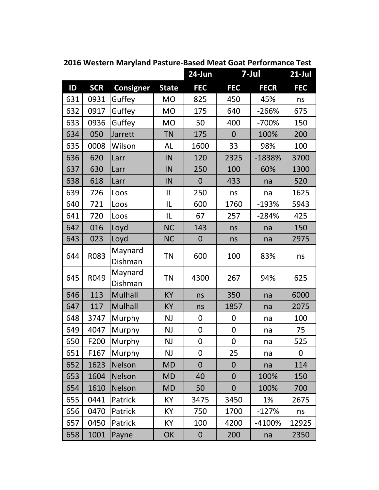|     |            |                    |              | 24-Jun           | 7-Jul            |             | $21$ -Jul  |
|-----|------------|--------------------|--------------|------------------|------------------|-------------|------------|
| ID  | <b>SCR</b> | <b>Consigner</b>   | <b>State</b> | <b>FEC</b>       | <b>FEC</b>       | <b>FECR</b> | <b>FEC</b> |
| 631 | 0931       | Guffey             | <b>MO</b>    | 825              | 450              | 45%         | ns         |
| 632 | 0917       | Guffey             | <b>MO</b>    | 175              | 640              | $-266%$     | 675        |
| 633 | 0936       | Guffey             | <b>MO</b>    | 50               | 400              | $-700%$     | 150        |
| 634 | 050        | Jarrett            | <b>TN</b>    | 175              | $\overline{0}$   | 100%        | 200        |
| 635 | 0008       | Wilson             | AL           | 1600             | 33               | 98%         | 100        |
| 636 | 620        | Larr               | IN           | 120              | 2325             | $-1838%$    | 3700       |
| 637 | 630        | Larr               | IN           | 250              | 100              | 60%         | 1300       |
| 638 | 618        | Larr               | IN           | $\overline{0}$   | 433              | na          | 520        |
| 639 | 726        | Loos               | IL           | 250              | ns               | na          | 1625       |
| 640 | 721        | Loos               | IL           | 600              | 1760             | $-193%$     | 5943       |
| 641 | 720        | Loos               | IL           | 67               | 257              | $-284%$     | 425        |
| 642 | 016        | Loyd               | <b>NC</b>    | 143              | ns               | na          | 150        |
| 643 | 023        | Loyd               | <b>NC</b>    | $\mathbf 0$      | ns               | na          | 2975       |
| 644 | R083       | Maynard            | <b>TN</b>    | 600              | 100              | 83%         | ns         |
|     |            | Dishman            |              |                  |                  |             |            |
| 645 | R049       | Maynard<br>Dishman | <b>TN</b>    | 4300             | 267              | 94%         | 625        |
| 646 | 113        | <b>Mulhall</b>     | KY           | ns               | 350              | na          | 6000       |
| 647 | 117        | <b>Mulhall</b>     | KY           | ns               | 1857             | na          | 2075       |
| 648 | 3747       | Murphy             | <b>NJ</b>    | 0                | $\boldsymbol{0}$ | na          | 100        |
| 649 | 4047       | Murphy             | <b>NJ</b>    | 0                | $\boldsymbol{0}$ | na          | 75         |
| 650 | F200       | Murphy             | <b>NJ</b>    | $\mathbf 0$      | $\boldsymbol{0}$ | na          | 525        |
| 651 | F167       | Murphy             | <b>NJ</b>    | 0                | 25               | na          | 0          |
| 652 | 1623       | Nelson             | <b>MD</b>    | $\overline{0}$   | $\mathbf{0}$     | na          | 114        |
| 653 | 1604       | <b>Nelson</b>      | <b>MD</b>    | 40               | $\mathbf 0$      | 100%        | 150        |
| 654 | 1610       | <b>Nelson</b>      | <b>MD</b>    | 50               | $\overline{0}$   | 100%        | 700        |
| 655 | 0441       | Patrick            | <b>KY</b>    | 3475             | 3450             | 1%          | 2675       |
| 656 | 0470       | Patrick            | KY           | 750              | 1700             | $-127%$     | ns         |
| 657 | 0450       | Patrick            | <b>KY</b>    | 100              | 4200             | $-4100%$    | 12925      |
| 658 | 1001       | Payne              | OK           | $\boldsymbol{0}$ | 200              | na          | 2350       |

**2016 Western Maryland Pasture‐Based Meat Goat Performance Test**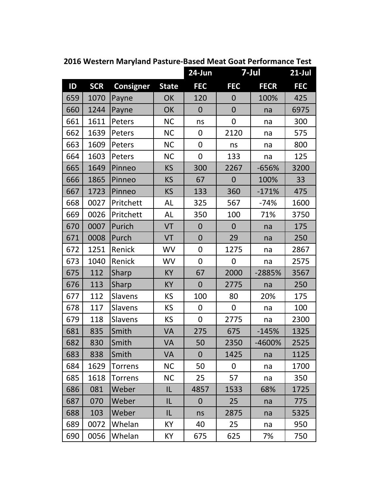|     |            |                  |              | 24-Jun         | 7-Jul            |             | $21$ -Jul  |
|-----|------------|------------------|--------------|----------------|------------------|-------------|------------|
| ID  | <b>SCR</b> | <b>Consigner</b> | <b>State</b> | <b>FEC</b>     | <b>FEC</b>       | <b>FECR</b> | <b>FEC</b> |
| 659 | 1070       | Payne            | OK           | 120            | $\overline{0}$   | 100%        | 425        |
| 660 | 1244       | Payne            | OK           | $\overline{0}$ | $\mathbf 0$      | na          | 6975       |
| 661 | 1611       | Peters           | <b>NC</b>    | ns             | 0                | na          | 300        |
| 662 | 1639       | Peters           | <b>NC</b>    | $\mathbf 0$    | 2120             | na          | 575        |
| 663 | 1609       | Peters           | <b>NC</b>    | $\overline{0}$ | ns               | na          | 800        |
| 664 | 1603       | Peters           | <b>NC</b>    | $\mathbf 0$    | 133              | na          | 125        |
| 665 | 1649       | Pinneo           | <b>KS</b>    | 300            | 2267             | -656%       | 3200       |
| 666 | 1865       | Pinneo           | <b>KS</b>    | 67             | $\boldsymbol{0}$ | 100%        | 33         |
| 667 | 1723       | Pinneo           | <b>KS</b>    | 133            | 360              | $-171%$     | 475        |
| 668 | 0027       | Pritchett        | AL           | 325            | 567              | $-74%$      | 1600       |
| 669 | 0026       | Pritchett        | AL           | 350            | 100              | 71%         | 3750       |
| 670 | 0007       | Purich           | VT           | $\overline{0}$ | $\overline{0}$   | na          | 175        |
| 671 | 0008       | Purch            | VT           | $\overline{0}$ | 29               | na          | 250        |
| 672 | 1251       | Renick           | <b>WV</b>    | $\mathbf 0$    | 1275             | na          | 2867       |
| 673 | 1040       | Renick           | <b>WV</b>    | $\overline{0}$ | $\mathbf 0$      | na          | 2575       |
| 675 | 112        | Sharp            | <b>KY</b>    | 67             | 2000             | -2885%      | 3567       |
| 676 | 113        | Sharp            | <b>KY</b>    | $\overline{0}$ | 2775             | na          | 250        |
| 677 | 112        | <b>Slavens</b>   | <b>KS</b>    | 100            | 80               | 20%         | 175        |
| 678 | 117        | <b>Slavens</b>   | <b>KS</b>    | $\overline{0}$ | $\boldsymbol{0}$ | na          | 100        |
| 679 | 118        | <b>Slavens</b>   | <b>KS</b>    | 0              | 2775             | na          | 2300       |
| 681 | 835        | Smith            | <b>VA</b>    | 275            | 675              | $-145%$     | 1325       |
| 682 | 830        | Smith            | VA           | 50             | 2350             | -4600%      | 2525       |
| 683 | 838        | Smith            | <b>VA</b>    | $\overline{0}$ | 1425             | na          | 1125       |
| 684 | 1629       | Torrens          | <b>NC</b>    | 50             | $\mathbf 0$      | na          | 1700       |
| 685 | 1618       | Torrens          | <b>NC</b>    | 25             | 57               | na          | 350        |
| 686 | 081        | Weber            | IL           | 4857           | 1533             | 68%         | 1725       |
| 687 | 070        | Weber            | IL           | $\overline{0}$ | 25               | na          | 775        |
| 688 | 103        | Weber            | IL           | ns             | 2875             | na          | 5325       |
| 689 | 0072       | Whelan           | <b>KY</b>    | 40             | 25               | na          | 950        |
| 690 | 0056       | Whelan           | KY           | 675            | 625              | 7%          | 750        |

**2016 Western Maryland Pasture‐Based Meat Goat Performance Test**